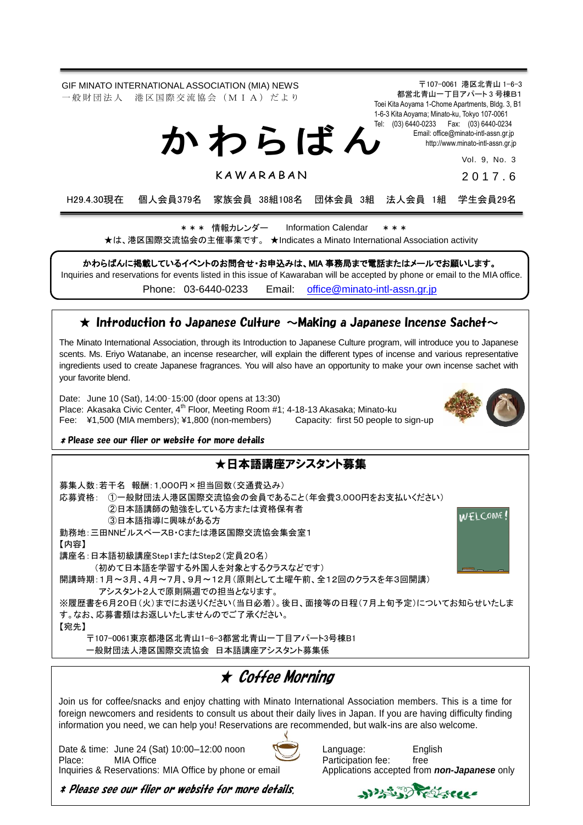GIF MINATO INTERNATIONAL ASSOCIATION (MIA) NEWS 一 般 財 団 法 人 港 区 国 際 交 流 協 会 (M I A) だ よ り

〒107-0061 港区北青山 1-6-3 都営北青山一丁目アパート 3 号棟B1 Toei Kita Aoyama 1-Chome Apartments, Bldg. 3, B1 1-6-3 Kita Aoyama; Minato-ku, Tokyo 107-0061 Tel: (03) 6440-0233 Fax: (03) 6440-0234 Email[: office@minato-intl-assn.gr.jp](mailto:office@minato-intl-assn.gr.jp) か わ ら ば ん

[http://www.minato-intl-assn.gr.jp](http://www.minato-intl-assn.gr.jp/)

Vol. 9, No. 3

201 7 . 6

H29.4.30現在 個人会員379名 家族会員 38組108名 団体会員 3組 法人会員 1組 学生会員29名

\* \* \* 情報カレンダー Information Calendar \* \* \*

**KAWARABAN** 

★は、港区国際交流協会の主催事業です。 ★Indicates a Minato International Association activity

かわらばんに掲載しているイベントのお問合せ・お申込みは、MIA 事務局まで電話またはメールでお願いします。

Inquiries and reservations for events listed in this issue of Kawaraban will be accepted by phone or email to the MIA office.

Phone: [03-6440-0233](mailto:TEL:%0903-6440-0233) Email: [office@minato-intl-assn.gr.jp](mailto:office@minato-intl-assn.gr.jp)

### $\star$  Introduction to Japanese Culture  $\sim$ Making a Japanese Incense Sachet $\sim$

The Minato International Association, through its Introduction to Japanese Culture program, will introduce you to Japanese scents. Ms. Eriyo Watanabe, an incense researcher, will explain the different types of incense and various representative ingredients used to create Japanese fragrances. You will also have an opportunity to make your own incense sachet with your favorite blend.

Date: June 10 (Sat), 14:00–15:00 (door opens at 13:30) Place: Akasaka Civic Center, 4<sup>th</sup> Floor, Meeting Room #1; 4-18-13 Akasaka; Minato-ku Fee: ¥1,500 (MIA members); ¥1,800 (non-members) Capacity: first 50 people to sign-up



\* Please see our flier or website for more details

### ★日本語講座アシスタント募集

募集人数:若干名 報酬:1,000円×担当回数(交通費込み) 応募資格: ①一般財団法人港区国際交流協会の会員であること(年会費3,000円をお支払いください) ②日本語講師の勉強をしている方または資格保有者 **WELCOME!** ③日本語指導に興味がある方 勤務地:三田NNビルスペースB・Cまたは港区国際交流協会集会室1 【内容】 講座名:日本語初級講座Step1またはStep2(定員20名) (初めて日本語を学習する外国人を対象とするクラスなどです) 開講時期:1月~3月、4月~7月、9月~12月(原則として土曜午前、全12回のクラスを年3回開講) アシスタント2人で原則隔週での担当となります。 ※履歴書を6月20日(火)までにお送りください(当日必着)。後日、面接等の日程(7月上旬予定)についてお知らせいたしま す。なお、応募書類はお返しいたしませんのでご了承ください。 【宛先】 〒107-0061東京都港区北青山1-6-3都営北青山一丁目アパート3号棟B1 一般財団法人港区国際交流協会 日本語講座アシスタント募集係

## ★ Coffee Morning

Join us for coffee/snacks and enjoy chatting with Minato International Association members. This is a time for foreign newcomers and residents to consult us about their daily lives in Japan. If you are having difficulty finding information you need, we can help you! Reservations are recommended, but walk-ins are also welcome.

Date & time: June 24 (Sat) 10:00–12:00 noon<br>
Place: MIA Office Mid Office Raticipation fee: free Inquiries & Reservations: MIA Office by phone or email



Place: MIA Office<br>
Inquiries & Reservations: MIA Office by phone or email Participations accepted from **non-Japanese** only

1232 Professee

\* Please see our flier or website for more details.